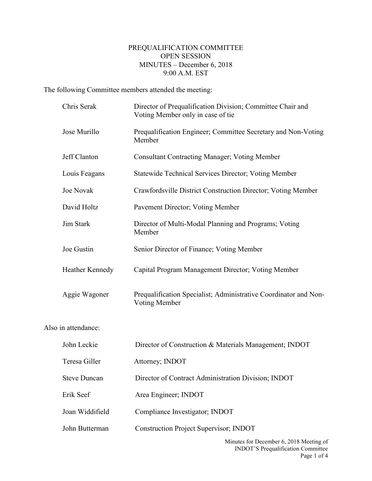## PREQUALIFICATION COMMITTEE OPEN SESSION MINUTES – December 6, 2018 9:00 A.M. EST

The following Committee members attended the meeting:

|                     | Chris Serak         | Director of Prequalification Division; Committee Chair and<br>Voting Member only in case of tie |  |
|---------------------|---------------------|-------------------------------------------------------------------------------------------------|--|
|                     | Jose Murillo        | Prequalification Engineer; Committee Secretary and Non-Voting<br>Member                         |  |
|                     | Jeff Clanton        | <b>Consultant Contracting Manager; Voting Member</b>                                            |  |
|                     | Louis Feagans       | <b>Statewide Technical Services Director; Voting Member</b>                                     |  |
|                     | <b>Joe Novak</b>    | Crawfordsville District Construction Director; Voting Member                                    |  |
|                     | David Holtz         | Pavement Director; Voting Member                                                                |  |
|                     | Jim Stark           | Director of Multi-Modal Planning and Programs; Voting<br>Member                                 |  |
|                     | Joe Gustin          | Senior Director of Finance; Voting Member                                                       |  |
|                     | Heather Kennedy     | Capital Program Management Director; Voting Member                                              |  |
|                     | Aggie Wagoner       | Prequalification Specialist; Administrative Coordinator and Non-<br>Voting Member               |  |
| Also in attendance: |                     |                                                                                                 |  |
|                     | John Leckie         | Director of Construction & Materials Management; INDOT                                          |  |
|                     | Teresa Giller       | Attorney; INDOT                                                                                 |  |
|                     | <b>Steve Duncan</b> | Director of Contract Administration Division; INDOT                                             |  |
|                     | Erik Seef           | Area Engineer; INDOT                                                                            |  |
|                     | Joan Widdifield     | Compliance Investigator; INDOT                                                                  |  |
|                     | John Butterman      | <b>Construction Project Supervisor; INDOT</b>                                                   |  |
|                     |                     |                                                                                                 |  |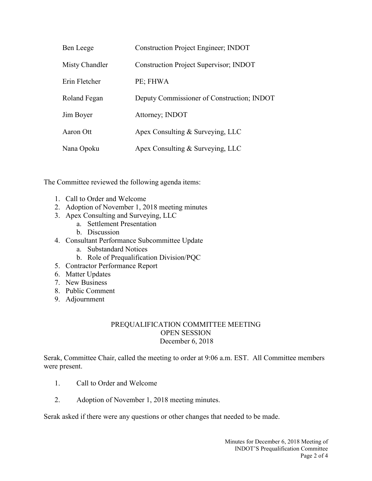| Ben Leege      | <b>Construction Project Engineer; INDOT</b>   |
|----------------|-----------------------------------------------|
| Misty Chandler | <b>Construction Project Supervisor; INDOT</b> |
| Erin Fletcher  | PE; FHWA                                      |
| Roland Fegan   | Deputy Commissioner of Construction; INDOT    |
| Jim Boyer      | Attorney; INDOT                               |
| Aaron Ott      | Apex Consulting & Surveying, LLC              |
| Nana Opoku     | Apex Consulting & Surveying, LLC              |

The Committee reviewed the following agenda items:

- 1. Call to Order and Welcome
- 2. Adoption of November 1, 2018 meeting minutes
- 3. Apex Consulting and Surveying, LLC
	- a. Settlement Presentation
	- b. Discussion
- 4. Consultant Performance Subcommittee Update
	- a. Substandard Notices
	- b. Role of Prequalification Division/PQC
- 5. Contractor Performance Report
- 6. Matter Updates
- 7. New Business
- 8. Public Comment
- 9. Adjournment

## PREQUALIFICATION COMMITTEE MEETING OPEN SESSION December 6, 2018

Serak, Committee Chair, called the meeting to order at 9:06 a.m. EST. All Committee members were present.

- 1. Call to Order and Welcome
- 2. Adoption of November 1, 2018 meeting minutes.

Serak asked if there were any questions or other changes that needed to be made.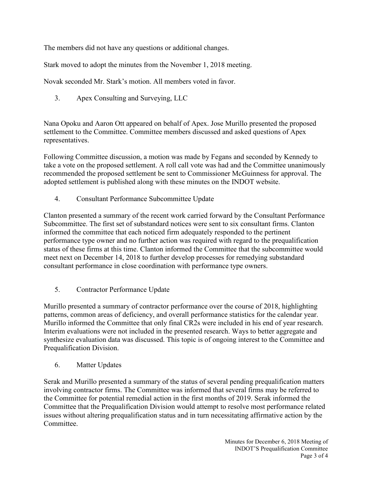The members did not have any questions or additional changes.

Stark moved to adopt the minutes from the November 1, 2018 meeting.

Novak seconded Mr. Stark's motion. All members voted in favor.

3. Apex Consulting and Surveying, LLC

Nana Opoku and Aaron Ott appeared on behalf of Apex. Jose Murillo presented the proposed settlement to the Committee. Committee members discussed and asked questions of Apex representatives.

Following Committee discussion, a motion was made by Fegans and seconded by Kennedy to take a vote on the proposed settlement. A roll call vote was had and the Committee unanimously recommended the proposed settlement be sent to Commissioner McGuinness for approval. The adopted settlement is published along with these minutes on the INDOT website.

4. Consultant Performance Subcommittee Update

Clanton presented a summary of the recent work carried forward by the Consultant Performance Subcommittee. The first set of substandard notices were sent to six consultant firms. Clanton informed the committee that each noticed firm adequately responded to the pertinent performance type owner and no further action was required with regard to the prequalification status of these firms at this time. Clanton informed the Committee that the subcommittee would meet next on December 14, 2018 to further develop processes for remedying substandard consultant performance in close coordination with performance type owners.

5. Contractor Performance Update

Murillo presented a summary of contractor performance over the course of 2018, highlighting patterns, common areas of deficiency, and overall performance statistics for the calendar year. Murillo informed the Committee that only final CR2s were included in his end of year research. Interim evaluations were not included in the presented research. Ways to better aggregate and synthesize evaluation data was discussed. This topic is of ongoing interest to the Committee and Prequalification Division.

6. Matter Updates

Serak and Murillo presented a summary of the status of several pending prequalification matters involving contractor firms. The Committee was informed that several firms may be referred to the Committee for potential remedial action in the first months of 2019. Serak informed the Committee that the Prequalification Division would attempt to resolve most performance related issues without altering prequalification status and in turn necessitating affirmative action by the Committee.